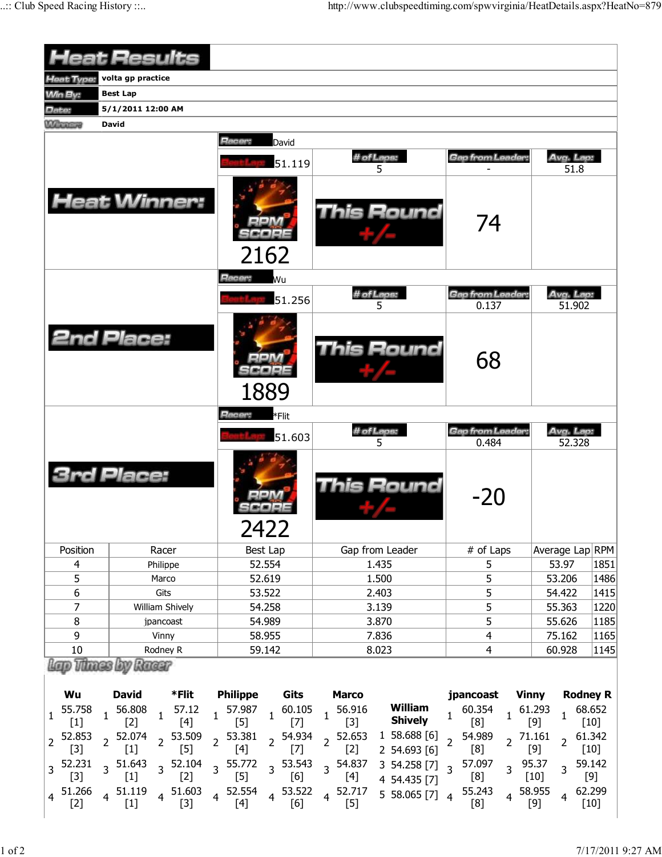|                    | <b>Heat Results</b>                           |                                                           |                                            |                                       |                     |                 |  |  |  |  |
|--------------------|-----------------------------------------------|-----------------------------------------------------------|--------------------------------------------|---------------------------------------|---------------------|-----------------|--|--|--|--|
| <b>Heat Type:</b>  | volta gp practice                             |                                                           |                                            |                                       |                     |                 |  |  |  |  |
| <b>Min By:</b>     | <b>Best Lap</b>                               |                                                           |                                            |                                       |                     |                 |  |  |  |  |
| Date:              | 5/1/2011 12:00 AM                             |                                                           |                                            |                                       |                     |                 |  |  |  |  |
| <b>MARKET</b>      | <b>David</b>                                  |                                                           |                                            |                                       |                     |                 |  |  |  |  |
|                    |                                               | Racer:<br>David                                           |                                            |                                       |                     |                 |  |  |  |  |
|                    |                                               | 51.119                                                    | # of Laps:<br>5                            | Gap from Leader:                      | Avg. Lap:<br>51.8   |                 |  |  |  |  |
|                    | <b>Heat Winner:</b>                           | 2162                                                      | <b>This Round</b>                          | 74                                    |                     |                 |  |  |  |  |
|                    |                                               | Racer:<br>Wu                                              |                                            |                                       |                     |                 |  |  |  |  |
|                    |                                               | 51.256                                                    | # of Laps:<br>5                            | <b>Gap from Leader:</b><br>0.137      | Avg. Lap:<br>51.902 |                 |  |  |  |  |
|                    | <b>2nd Place:</b>                             | $=1.4$<br>1889                                            | <b>This Round</b>                          | 68                                    |                     |                 |  |  |  |  |
|                    |                                               | Racer:<br>*Flit                                           |                                            |                                       |                     |                 |  |  |  |  |
|                    |                                               | 51.603                                                    | # of Laps:<br>5                            | <b>Gap from Leader:</b><br>0.484      | Avg. Lap:<br>52.328 |                 |  |  |  |  |
|                    | <b>3rd Place:</b>                             | 2422                                                      | <b>This Round</b>                          | $-20$                                 |                     |                 |  |  |  |  |
| Position           | Racer                                         | Best Lap                                                  | Gap from Leader                            | # of Laps                             |                     | Average Lap RPM |  |  |  |  |
| 4                  | Philippe                                      | 52.554                                                    | 1.435                                      | 5                                     | 53.97               | 1851            |  |  |  |  |
| 5                  | Marco                                         | 52.619                                                    | 1.500                                      | 5                                     | 53.206              | 1486            |  |  |  |  |
| 6                  | Gits                                          | 53.522                                                    | 2.403                                      | 5                                     | 54.422              | 1415            |  |  |  |  |
| 7                  | William Shively                               | 54.258                                                    | 3.139                                      | 5                                     | 55.363<br>1220      |                 |  |  |  |  |
| $\bf 8$            | jpancoast                                     | 54.989                                                    | 3.870                                      | 5                                     | 55.626              | 1185            |  |  |  |  |
| 9                  | Vinny                                         | 58.955                                                    | 7.836                                      | $\overline{4}$                        | 75.162              | 1165            |  |  |  |  |
| 10                 | Rodney R                                      | 59.142                                                    | 8.023                                      | 4                                     | 60.928<br>1145      |                 |  |  |  |  |
| Wu                 | Lap Thase by Russ<br><b>David</b><br>*Flit    | <b>Philippe</b><br>Gits                                   | <b>Marco</b>                               | jpancoast Vinny                       | <b>Rodney R</b>     |                 |  |  |  |  |
| 55.758<br>1<br>[1] | 56.808<br>57.12<br>$\mathbf{1}$<br>[4]<br>[2] | 1 57.987<br>60.105<br>$\overline{1}$<br>F51<br><b>F71</b> | William<br>56.916<br><b>Shively</b><br>[3] | 60.354<br>$1\quad 61.293$<br>1<br>[8] | 68.652<br>[9]       | [10]            |  |  |  |  |